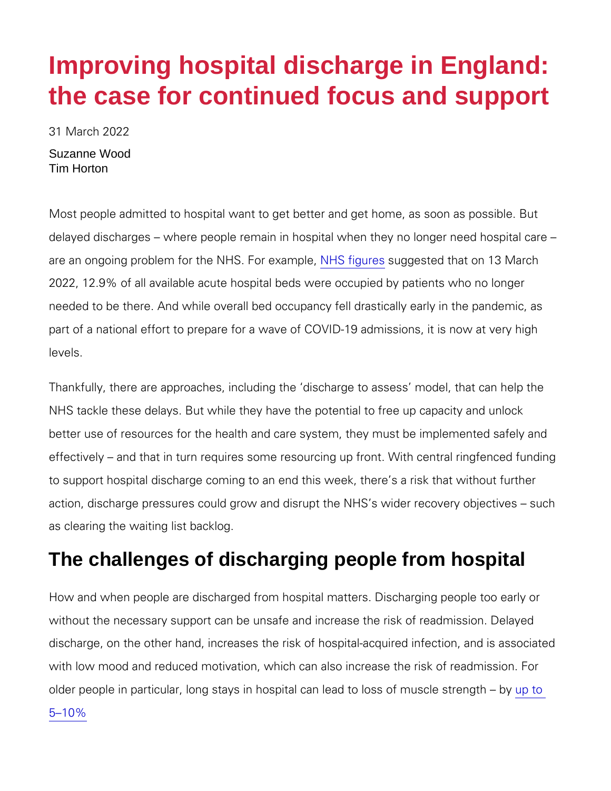# Improving hospital discharge in England: the case for continued focus and support

31 March 2022

Suzanne Wood Tim Horton

Most people admitted to hospital want to get better and get home delayed discharges where people remain in hospital when they r are an ongoing problem for the **NHS** f**For exagens the delect that on 13 Mar** 2022, 12.9% of all available acute hospital beds were occupied by needed to be there. And while overall bed occupancy fell drastica part of a national effort to prepare for a wave of COVID-19 admis levels.

Thankfully, there are approaches, including the discharge to ass NHS tackle these delays. But while they have the potential to free better use of resources for the health and care system, they must effectively and that in turn requires some resourcing up front. V to support hospital discharge coming to an end this week, there s action, discharge pressures could grow and disrupt the NHS s wid as clearing the waiting list backlog.

# The challenges of discharging people from hospital

How and when people are discharged from hospital matters. Disch without the necessary support can be unsafe and increase the ris discharge, on the other hand, increases the risk of hospital-acqui with low mood and reduced motivation, which can also increase th older people in particular, long stays in hospital can leapdtoo loss [5 10](https://www.bmj.com/content/366/bmj.l4185/rr-6#:~:text=We define )%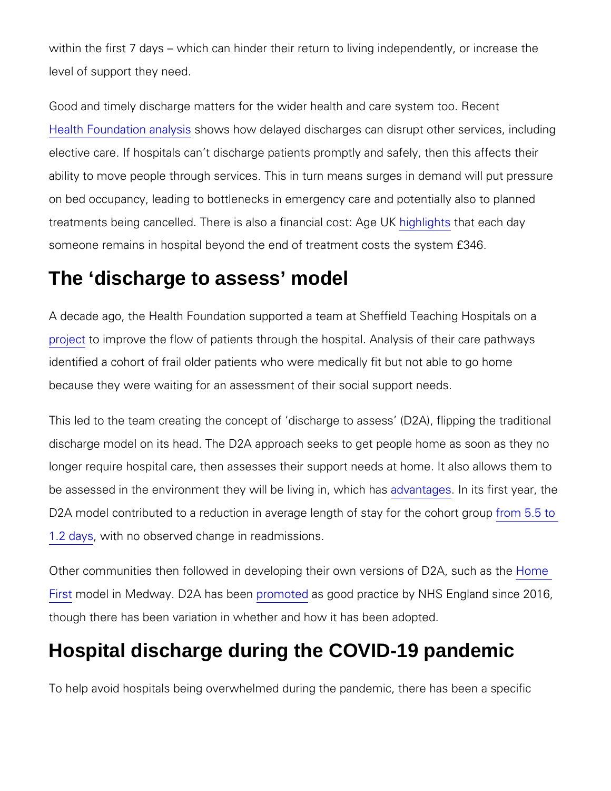within the first 7 days which can hinder their retion corretaos bivtihneg ind level of support they need.

Good and timely discharge matters for the wider health and care [Health Foundatio](https://www.health.org.uk/news-and-comment/charts-and-infographics/do-we-really-understand-why-the-nhs-is-under-record-pressure)n han aly how delayed discharges can disrupt other elective care. If hospitals can t discharge patients promptly and : ability to move people through services. This in turn means surge on bed occupancy, leading to bottlenecks in emergency care and treatments being cancelled. There is alsohiag hilmiga torhade bao bat da Ayge U someone remains in hospital beyond the end of treatment costs th

#### The 'discharge to assess' model

A decade ago, the Health Foundation supported a team at Sheffie [proje](https://www.health.org.uk/newsletter-feature/‘discharge-to-assess’-at-sheffield-frailty-unit)to improve the flow of patients through the hospital. Analysis identified a cohort of frail older patients who were medically fit b because they were waiting for an assessment of their social supp

This led to the team creating the concept of discharge to assess discharge model on its head. The D2A approach seeks to get peop longer require hospital care, then assesses their support needs a be assessed in the environment they will a dive hive inglensints whirms thy heas, D2A model contributed to a reduction in average length om 5 staty for [1.2 d](https://www.ncbi.nlm.nih.gov/pmc/articles/PMC6484156/)aywsith no observed change in readmissions.

Other communities then followed in developing their owthomersions [Fir](https://www.kentcht.nhs.uk/service/home-first-2/)st hodel in Medway. D2A rohans the englood practice by NHS England since 2016, and the 2016, and 2016, and 2016, and 2016, and 2016, and 2016, and 2016, and 2016, and 2016, and 2016, and 2016, and 2016, and 2016, and 20 though there has been variation in whether and how it has been a

## Hospital discharge during the COVID-19 pandemic

To help avoid hospitals being overwhelmed during the pandemic,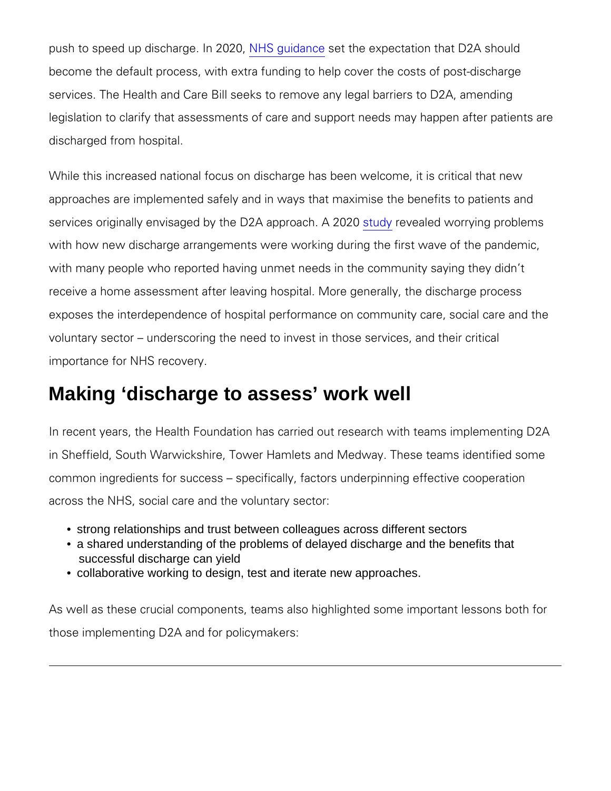push to speed up dischaN**He**.gunia&neothe expectation that D2A sho become the default process, with extra funding to help cover the services. The Health and Care Bill seeks to remove any legal bar legislation to clarify that assessments of care and support needs discharged from hospital.

While this increased national focus on discharge has been welcon approaches are implemented safely and in ways that maximise the services originally envisaged by the  $\mathsf{SLA}$  we properadend hwo Arr $2$ 020 proble with how new discharge arrangements were working during the fir with many people who reported having unmet needs in the commun receive a home assessment after leaving hospital. More generally exposes the interdependence of hospital performance on communi voluntary sector underscoring the need to invest in those servic importance for NHS recovery.

### Making 'discharge to assess' work well

In recent years, the Health Foundation has carried out research w in Sheffield, South Warwickshire, Tower Hamlets and Medway. The common ingredients for success specifically, factors underpinni across the NHS, social care and the voluntary sector:

- strong relationships and trust between colleagues across different sectors
- a shared understanding of the problems of delayed discharge and the benefits that successful discharge can yield
- collaborative working to design, test and iterate new approaches.

As well as these crucial components, teams also highlighted some those implementing D2A and for policymakers: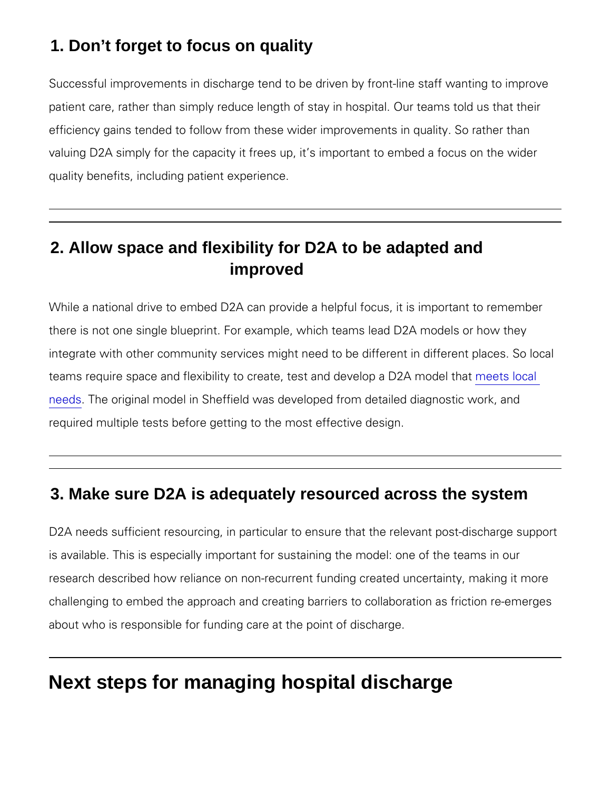### 1. Don't forget to focus on quality

Successful improvements in discharge tend to be driven by frontpatient care, rather than simply reduce length of stay in hospital. efficiency gains tended to follow from these wider improvements i valuing D2A simply for the capacity it frees up, it s important to quality benefits, including patient experience.

## 2. Allow space and flexibility for D2A to be adapted and improved

While a national drive to embed D2A can provide a helpful focus, there is not one single blueprint. For example, which teams lead integrate with other community services might need to be differen teams require space and flexibility to create, testmanned tale vehold a [nee](https://www.nhs.uk/nhsengland/keogh-review/documents/quick-guides/quick-guide-discharge-to-access.pdf)ds The original model in Sheffield was developed from detailed required multiple tests before getting to the most effective design

#### 3. Make sure D2A is adequately resourced across the system

D2A needs sufficient resourcing, in particular to ensure that the is available. This is especially important for sustaining the mode research described how reliance on non-recurrent funding created challenging to embed the approach and creating barriers to collab about who is responsible for funding care at the point of discharg

# Next steps for managing hospital discharge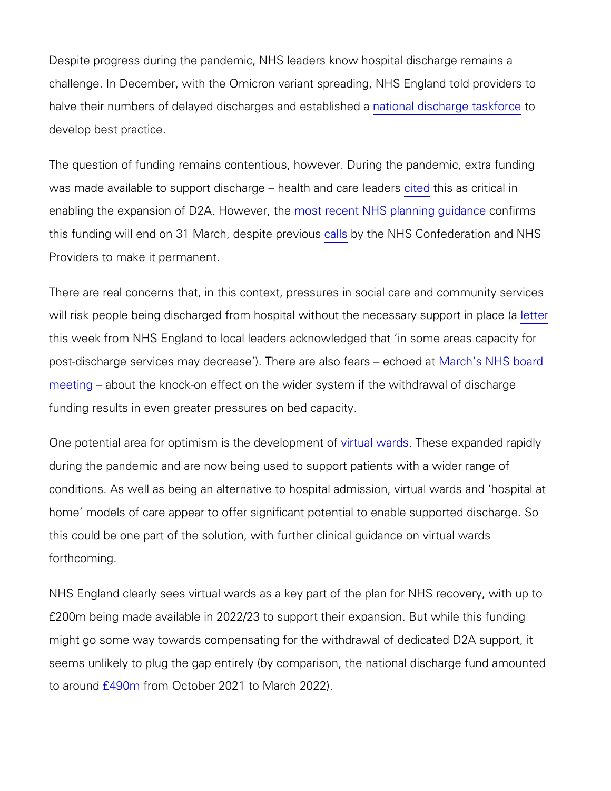Despite progress during the pandemic, NHS leaders know hospital challenge. In December, with the Omicron variant spreading, NHS halve their numbers of delayed discha**nge iso nand deistabalnig etenda sak**force develop best practice.

The question of funding remains contentious, however. During the was made available to support discharge citted this as dc citive alleader enabling the expansion of  $D$   $2n$  os thowere ent, NHS planning guidance this funding will end on 31 Marc[h,](https://www.nhsconfed.org/news/government-urged-go-one-step-further-and-make-discharge-assess-funding-permanent) despite NHs Consfederation and Providers to make it permanent.

There are real concerns that, in this context, pressures in social will risk people being discharged from hospital without [the](https://www.england.nhs.uk/coronavirus/wp-content/uploads/sites/52/2022/03/B1412_i-funding-of-discharge-services-from-acute-care-in-2022-23-letter.pdf) the neces this week from NHS England to local leaders acknowledged that post-discharge services may decrease ). Ther Mannehad sio Hf& abrosarded [meeti](https://www.england.nhs.uk/wp-content/uploads/2022/03/BM2207Pu-operational-performance-update-march-2022.pdf)ng about the knock-on effect on the wider system if the withd funding results in even greater pressures on bed capacity.

One potential area for optimism is vtihm bu **de wealTobpenseene** xopfanded rapid during the pandemic and are now being used to support patients w conditions. As well as being an alternative to hospital admission, home models of care appear to offer significant potential to enab this could be one part of the solution, with further clinical guidar forthcoming.

NHS England clearly sees virtual wards as a key part of the plan £200m being made available in 2022/23 to support their expansion might go some way towards compensating for the withdrawal of de seems unlikely to plug the gap entirely (by comparison, the nation to arou $f \uparrow 400$  officom October 2021 to March 2022).